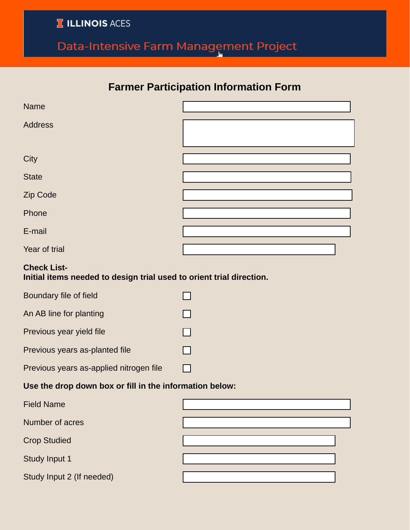**T ILLINOIS ACES** 

## Data-Intensive Farm Management Project

## **Farmer Participation Information Form**

| <b>Name</b>                                                                                |                          |  |
|--------------------------------------------------------------------------------------------|--------------------------|--|
| <b>Address</b>                                                                             |                          |  |
| City                                                                                       |                          |  |
| <b>State</b>                                                                               |                          |  |
| Zip Code                                                                                   |                          |  |
| Phone                                                                                      |                          |  |
| E-mail                                                                                     |                          |  |
| Year of trial                                                                              | $\vert \mathbf{v} \vert$ |  |
| <b>Check List-</b><br>Initial items needed to design trial used to orient trial direction. |                          |  |
| Boundary file of field                                                                     |                          |  |
| An AB line for planting                                                                    |                          |  |
| Previous year yield file                                                                   |                          |  |
| Previous years as-planted file                                                             |                          |  |
| Previous years as-applied nitrogen file                                                    |                          |  |
| Use the drop down box or fill in the information below:                                    |                          |  |
| <b>Field Name</b>                                                                          |                          |  |
| Number of acres                                                                            |                          |  |
| <b>Crop Studied</b>                                                                        |                          |  |
| Study Input 1                                                                              |                          |  |
| Study Input 2 (If needed)                                                                  |                          |  |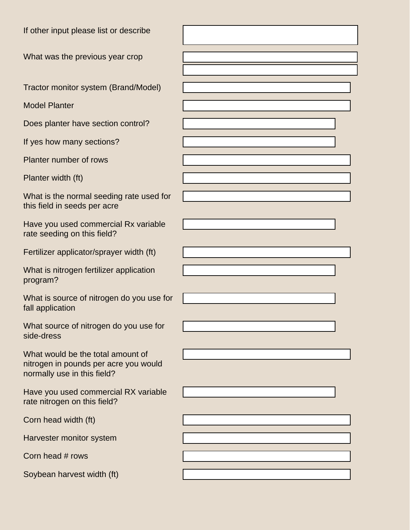| If other input please list or describe                                                                    |              |
|-----------------------------------------------------------------------------------------------------------|--------------|
| What was the previous year crop                                                                           |              |
|                                                                                                           |              |
| Tractor monitor system (Brand/Model)                                                                      |              |
| <b>Model Planter</b>                                                                                      |              |
| Does planter have section control?                                                                        | ▼∣           |
| If yes how many sections?                                                                                 |              |
| Planter number of rows                                                                                    |              |
| Planter width (ft)                                                                                        |              |
| What is the normal seeding rate used for                                                                  |              |
| this field in seeds per acre                                                                              |              |
| Have you used commercial Rx variable<br>rate seeding on this field?                                       |              |
| Fertilizer applicator/sprayer width (ft)                                                                  |              |
| What is nitrogen fertilizer application<br>program?                                                       |              |
| What is source of nitrogen do you use for<br>fall application                                             |              |
| What source of nitrogen do you use for<br>side-dress                                                      |              |
| What would be the total amount of<br>nitrogen in pounds per acre you would<br>normally use in this field? |              |
| Have you used commercial RX variable<br>rate nitrogen on this field?                                      | $\mathbf{v}$ |
| Corn head width (ft)                                                                                      |              |
| Harvester monitor system                                                                                  |              |
| Corn head # rows                                                                                          |              |
| Soybean harvest width (ft)                                                                                |              |